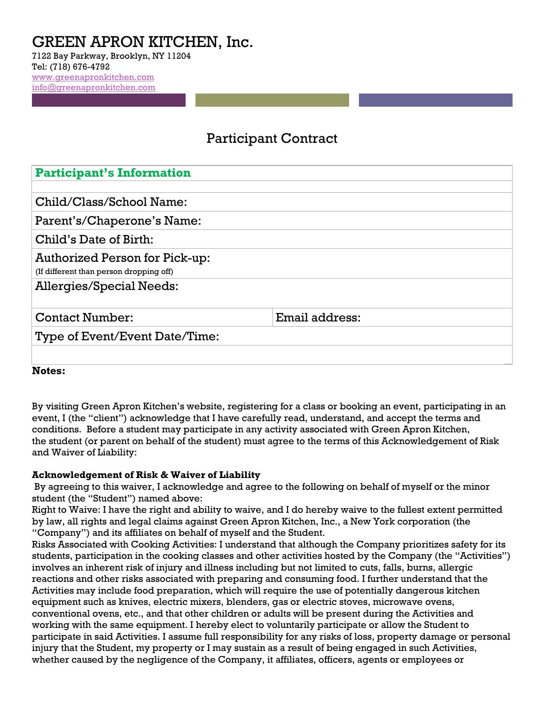# GREEN APRON KITCHEN, Inc.

7122 Bay Parkway, Brooklyn, NY 11204 Tel: (718) 676-4792 [www.greenapronkitchen.com](http://www.greenapronkitchen.com/)  [info@greenapronkitchen.com](mailto:info@greenapronkitchen.com)

# Participant Contract

| <b>Participant's Information</b>        |                |
|-----------------------------------------|----------------|
|                                         |                |
| Child/Class/School Name:                |                |
| Parent's/Chaperone's Name:              |                |
| Child's Date of Birth:                  |                |
| <b>Authorized Person for Pick-up:</b>   |                |
| (If different than person dropping off) |                |
| <b>Allergies/Special Needs:</b>         |                |
|                                         |                |
| <b>Contact Number:</b>                  | Email address: |
| Type of Event/Event Date/Time:          |                |
|                                         |                |
|                                         |                |

**Notes:**

By visiting Green Apron Kitchen's website, registering for a class or booking an event, participating in an event, I (the "client") acknowledge that I have carefully read, understand, and accept the terms and conditions. Before a student may participate in any activity associated with Green Apron Kitchen, the student (or parent on behalf of the student) must agree to the terms of this Acknowledgement of Risk and Waiver of Liability:

## **Acknowledgement of Risk & Waiver of Liability**

By agreeing to this waiver, I acknowledge and agree to the following on behalf of myself or the minor student (the "Student") named above:

Right to Waive: I have the right and ability to waive, and I do hereby waive to the fullest extent permitted by law, all rights and legal claims against Green Apron Kitchen, Inc., a New York corporation (the "Company") and its affiliates on behalf of myself and the Student.

Risks Associated with Cooking Activities: I understand that although the Company prioritizes safety for its students, participation in the cooking classes and other activities hosted by the Company (the "Activities") involves an inherent risk of injury and illness including but not limited to cuts, falls, burns, allergic reactions and other risks associated with preparing and consuming food. I further understand that the Activities may include food preparation, which will require the use of potentially dangerous kitchen equipment such as knives, electric mixers, blenders, gas or electric stoves, microwave ovens, conventional ovens, etc., and that other children or adults will be present during the Activities and working with the same equipment. I hereby elect to voluntarily participate or allow the Student to participate in said Activities. I assume full responsibility for any risks of loss, property damage or personal injury that the Student, my property or I may sustain as a result of being engaged in such Activities, whether caused by the negligence of the Company, it affiliates, officers, agents or employees or